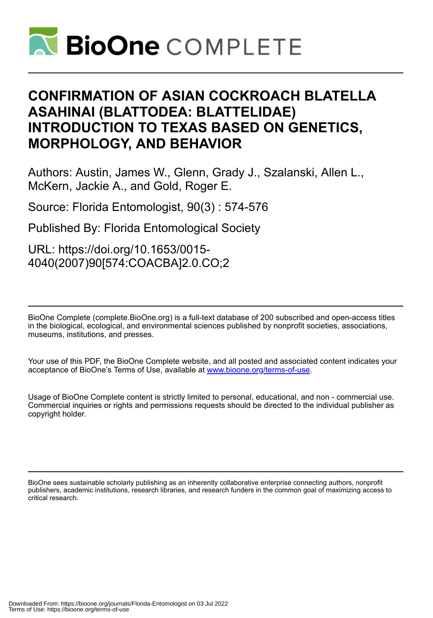

## **CONFIRMATION OF ASIAN COCKROACH BLATELLA ASAHINAI (BLATTODEA: BLATTELIDAE) INTRODUCTION TO TEXAS BASED ON GENETICS, MORPHOLOGY, AND BEHAVIOR**

Authors: Austin, James W., Glenn, Grady J., Szalanski, Allen L., McKern, Jackie A., and Gold, Roger E.

Source: Florida Entomologist, 90(3) : 574-576

Published By: Florida Entomological Society

URL: https://doi.org/10.1653/0015- 4040(2007)90[574:COACBA]2.0.CO;2

BioOne Complete (complete.BioOne.org) is a full-text database of 200 subscribed and open-access titles in the biological, ecological, and environmental sciences published by nonprofit societies, associations, museums, institutions, and presses.

Your use of this PDF, the BioOne Complete website, and all posted and associated content indicates your acceptance of BioOne's Terms of Use, available at www.bioone.org/terms-of-use.

Usage of BioOne Complete content is strictly limited to personal, educational, and non - commercial use. Commercial inquiries or rights and permissions requests should be directed to the individual publisher as copyright holder.

BioOne sees sustainable scholarly publishing as an inherently collaborative enterprise connecting authors, nonprofit publishers, academic institutions, research libraries, and research funders in the common goal of maximizing access to critical research.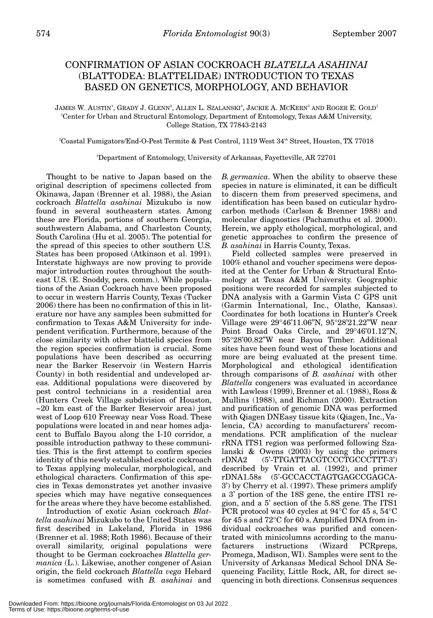## CONFIRMATION OF ASIAN COCKROACH *BLATELLA ASAHINAI* (BLATTODEA: BLATTELIDAE) INTRODUCTION TO TEXAS BASED ON GENETICS, MORPHOLOGY, AND BEHAVIOR

JAMES W. AUSTIN', GRADY J. GLENN?, ALLEN L. SZALANSKI3, JACKIE A. MCKERN3 AND ROGER E. GOLD<sup>1</sup> 1 Center for Urban and Structural Entomology, Department of Entomology, Texas A&M University, College Station, TX 77843-2143

2 Coastal Fumigators/End-O-Pest Termite & Pest Control, 1119 West 34th Street, Houston, TX 77018

3 Department of Entomology, University of Arkansas, Fayetteville, AR 72701

Thought to be native to Japan based on the original description of specimens collected from Okinawa, Japan (Brenner et al. 1988), the Asian cockroach *Blattella asahinai* Mizukubo is now found in several southeastern states. Among these are Florida, portions of southern Georgia, southwestern Alabama, and Charleston County, South Carolina (Hu et al. 2005). The potential for the spread of this species to other southern U.S. States has been proposed (Atkinson et al. 1991). Interstate highways are now proving to provide major introduction routes throughout the southeast U.S. (E. Snoddy, pers. comm.). While populations of the Asian Cockroach have been proposed to occur in western Harris County, Texas (Tucker 2006) there has been no confirmation of this in literature nor have any samples been submitted for confirmation to Texas A&M University for independent verification. Furthermore, because of the close similarity with other blattelid species from the region species confirmation is crucial. Some populations have been described as occurring near the Barker Reservoir (in Western Harris County) in both residential and undeveloped areas. Additional populations were discovered by pest control technicians in a residential area (Hunters Creek Village subdivision of Houston, ~20 km east of the Barker Reservoir area) just west of Loop 610 Freeway near Voss Road. These populations were located in and near homes adjacent to Buffalo Bayou along the I-10 corridor, a possible introduction pathway to these communities. This is the first attempt to confirm species identity of this newly established exotic cockroach to Texas applying molecular, morphological, and ethological characters. Confirmation of this species in Texas demonstrates yet another invasive species which may have negative consequences for the areas where they have become established.

Introduction of exotic Asian cockroach *Blattella asahinai* Mizukubo to the United States was first described in Lakeland, Florida in 1986 (Brenner et al. 1988; Roth 1986). Because of their overall similarity, original populations were thought to be German cockroaches *Blattella germanica* (L.). Likewise, another congener of Asian origin, the field cockroach *Blattella vega* Hebard is sometimes confused with *B. asahinai* and

*B. germanica*. When the ability to observe these species in nature is eliminated, it can be difficult to discern them from preserved specimens, and identification has been based on cuticular hydrocarbon methods (Carlson & Brenner 1988) and molecular diagnostics (Pachamuthu et al. 2000). Herein, we apply ethological, morphological, and genetic approaches to confirm the presence of *B. asahinai* in Harris County, Texas.

Field collected samples were preserved in 100% ethanol and voucher specimens were deposited at the Center for Urban & Structural Entomology at Texas A&M University. Geographic positions were recorded for samples subjected to DNA analysis with a Garmin Vista C GPS unit (Garmin International, Inc., Olathe, Kansas). Coordinates for both locations in Hunter's Creek Village were 29°46'11.06"N, 95°28'21.22"W near Point Broad Oaks Circle, and 29°46'01.12"N, 95°28'00.82"W near Bayou Timber. Additional sites have been found west of these locations and more are being evaluated at the present time. Morphological and ethological identification through comparisons of *B. asahinai* with other *Blattella* congeners was evaluated in accordance with Lawless (1999), Brenner et al. (1988), Ross & Mullins (1988), and Richman (2000). Extraction and purification of genomic DNA was performed with Qiagen DNEasy tissue kits (Qiagen, Inc., Valencia, CA) according to manufacturers' recommendations. PCR amplification of the nuclear rRNA ITS1 region was performed following Szalanski & Owens (2003) by using the primers rDNA2 (5'-TTGATTACGTCCCTGCCCTTT-3') described by Vrain et al. (1992), and primer rDNA1.58s (5'-GCCACCTAGTGAGCCGAGCA-3') by Cherry et al. (1997). These primers amplify a 3' portion of the 18S gene, the entire ITS1 region, and a 5' section of the 5.8S gene. The ITS1 PCR protocol was 40 cycles at 94°C for 45 s, 54°C for 45 s and 72°C for 60 s. Amplified DNA from individual cockroaches was purified and concentrated with minicolumns according to the manufacturers instructions (Wizard PCRpreps, Promega, Madison, WI). Samples were sent to the University of Arkansas Medical School DNA Sequencing Facility, Little Rock, AR, for direct sequencing in both directions. Consensus sequences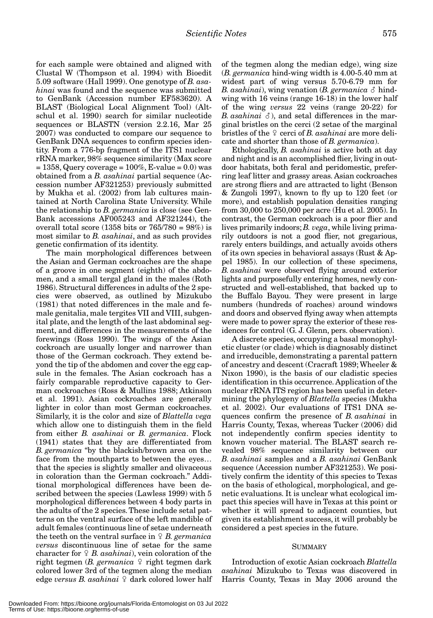for each sample were obtained and aligned with Clustal W (Thompson et al. 1994) with Bioedit 5.09 software (Hall 1999). One genotype of *B. asahinai* was found and the sequence was submitted to GenBank (Accession number EF583620). A BLAST (Biological Local Alignment Tool) (Altschul et al. 1990) search for similar nucleotide sequences or BLASTN (version 2.2.16, Mar 25 2007) was conducted to compare our sequence to GenBank DNA sequences to confirm species identity. From a 776-bp fragment of the ITS1 nuclear rRNA marker, 98% sequence similarity (Max score  $= 1358$ , Query coverage  $= 100\%$ , E-value  $= 0.0$ ) was obtained from a *B. asahinai* partial sequence (Accession number AF321253) previously submitted by Mukha et al. (2002) from lab cultures maintained at North Carolina State University. While the relationship to *B. germanica* is close (see Gen-Bank accessions AF005243 and AF321244), the overall total score (1358 bits or  $765/780 = 98\%)$  is most similar to *B. asahinai*, and as such provides genetic confirmation of its identity.

The main morphological differences between the Asian and German cockroaches are the shape of a groove in one segment (eighth) of the abdomen, and a small tergal gland in the males (Roth 1986). Structural differences in adults of the 2 species were observed, as outlined by Mizukubo (1981) that noted differences in the male and female genitalia, male tergites VII and VIII, subgenital plate, and the length of the last abdominal segment, and differences in the measurements of the forewings (Ross 1990). The wings of the Asian cockroach are usually longer and narrower than those of the German cockroach. They extend beyond the tip of the abdomen and cover the egg capsule in the females. The Asian cockroach has a fairly comparable reproductive capacity to German cockroaches (Ross & Mullins 1988; Atkinson et al. 1991). Asian cockroaches are generally lighter in color than most German cockroaches. Similarly, it is the color and size of *Blattella vega* which allow one to distinguish them in the field from either *B. asahinai* or *B. germanica*. Flock (1941) states that they are differentiated from *B. germanica* "by the blackish/brown area on the face from the mouthparts to between the eyes… that the species is slightly smaller and olivaceous in coloration than the German cockroach." Additional morphological differences have been described between the species (Lawless 1999) with 5 morphological differences between 4 body parts in the adults of the 2 species. These include setal patterns on the ventral surface of the left mandible of adult females (continuous line of setae underneath the teeth on the ventral surface in  $\varphi$  *B. germanica versus* discontinuous line of setae for the same character for *B. asahinai*), vein coloration of the right tegmen (*B. germanica*  $\varphi$  right tegmen dark colored lower 3rd of the tegmen along the median edge *versus B. asahinai*  $\Omega$  dark colored lower half of the tegmen along the median edge), wing size (*B. germanica* hind-wing width is 4.00-5.40 mm at widest part of wing versus 5.70-6.79 mm for *B. asahinai*), wing venation (*B. germanica*  $\delta$  hindwing with 16 veins (range 16-18) in the lower half of the wing *versus* 22 veins (range 20-22) for *B. asahinai*  $\delta$ ), and setal differences in the marginal bristles on the cerci (2 setae of the marginal bristles of the  $\varphi$  cerci of *B. asahinai* are more delicate and shorter than those of *B. germanica*).

Ethologically, *B. asahinai* is active both at day and night and is an accomplished flier, living in outdoor habitats, both feral and peridomestic, preferring leaf litter and grassy areas. Asian cockroaches are strong fliers and are attracted to light (Benson & Zungoli 1997), known to fly up to 120 feet (or more), and establish population densities ranging from 30,000 to 250,000 per acre (Hu et al. 2005). In contrast, the German cockroach is a poor flier and lives primarily indoors; *B. vega*, while living primarily outdoors is not a good flier, not gregarious, rarely enters buildings, and actually avoids others of its own species in behavioral assays (Rust & Appel 1985). In our collection of these specimens, *B. asahinai* were observed flying around exterior lights and purposefully entering homes, newly constructed and well-established, that backed up to the Buffalo Bayou. They were present in large numbers (hundreds of roaches) around windows and doors and observed flying away when attempts were made to power spray the exterior of these residences for control (G. J. Glenn, pers. observation).

A discrete species, occupying a basal monophyletic cluster (or clade) which is diagnosably distinct and irreducible, demonstrating a parental pattern of ancestry and descent (Cracraft 1989; Wheeler & Nixon 1990), is the basis of our cladistic species identification in this occurrence. Application of the nuclear rRNA ITS region has been useful in determining the phylogeny of *Blattella* species (Mukha et al. 2002). Our evaluations of ITS1 DNA sequences confirm the presence of *B. asahinai* in Harris County, Texas, whereas Tucker (2006) did not independently confirm species identity to known voucher material. The BLAST search revealed 98% sequence similarity between our *B. asahinai* samples and a *B. asahinai* GenBank sequence (Accession number AF321253). We positively confirm the identity of this species to Texas on the basis of ethological, morphological, and genetic evaluations. It is unclear what ecological impact this species will have in Texas at this point or whether it will spread to adjacent counties, but given its establishment success, it will probably be considered a pest species in the future.

## **SUMMARY**

Introduction of exotic Asian cockroach *Blattella asahinai* Mizukubo to Texas was discovered in Harris County, Texas in May 2006 around the